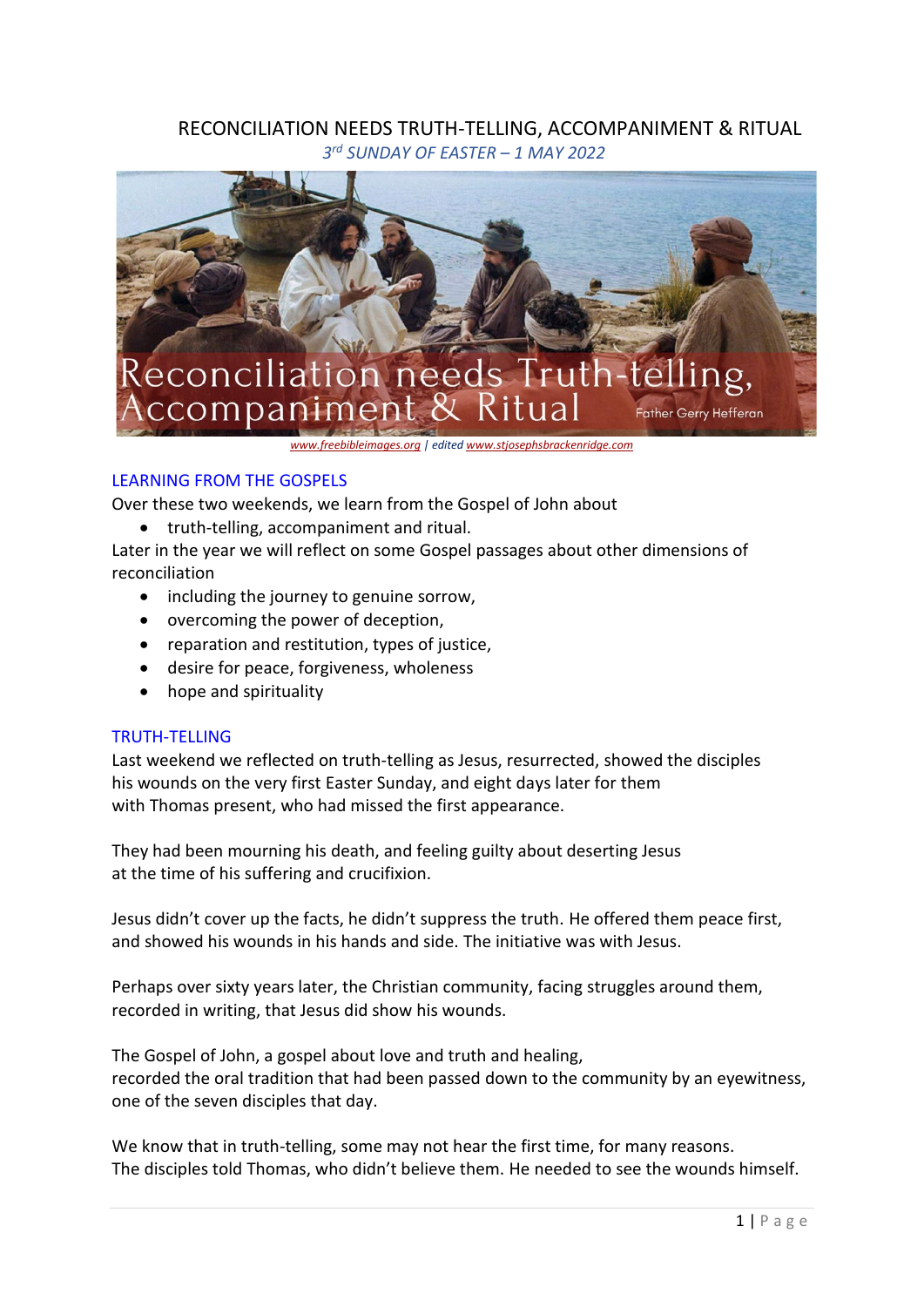# RECONCILIATION NEEDS TRUTH-TELLING, ACCOMPANIMENT & RITUAL *3 rd SUNDAY OF EASTER – 1 MAY 2022*



*[www.freebibleimages.org](http://www.freebibleimages.org/) | edite[d www.stjosephsbrackenridge.com](http://www.stjosephsbrackenridge.com/)*

## LEARNING FROM THE GOSPELS

Over these two weekends, we learn from the Gospel of John about

• truth-telling, accompaniment and ritual.

Later in the year we will reflect on some Gospel passages about other dimensions of reconciliation

- including the journey to genuine sorrow,
- overcoming the power of deception,
- reparation and restitution, types of justice,
- desire for peace, forgiveness, wholeness
- hope and spirituality

### TRUTH-TELLING

Last weekend we reflected on truth-telling as Jesus, resurrected, showed the disciples his wounds on the very first Easter Sunday, and eight days later for them with Thomas present, who had missed the first appearance.

They had been mourning his death, and feeling guilty about deserting Jesus at the time of his suffering and crucifixion.

Jesus didn't cover up the facts, he didn't suppress the truth. He offered them peace first, and showed his wounds in his hands and side. The initiative was with Jesus.

Perhaps over sixty years later, the Christian community, facing struggles around them, recorded in writing, that Jesus did show his wounds.

The Gospel of John, a gospel about love and truth and healing, recorded the oral tradition that had been passed down to the community by an eyewitness, one of the seven disciples that day.

We know that in truth-telling, some may not hear the first time, for many reasons. The disciples told Thomas, who didn't believe them. He needed to see the wounds himself.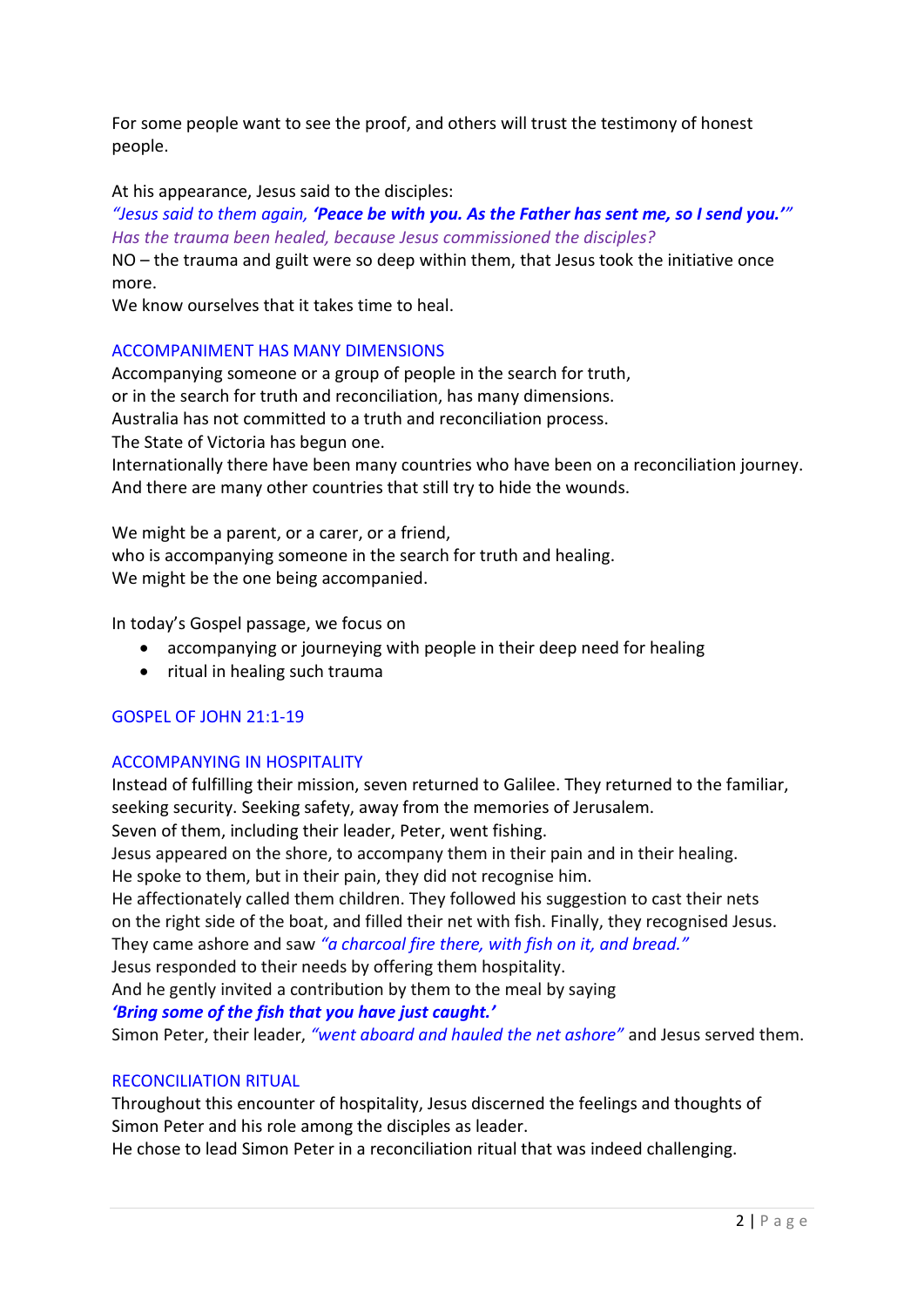For some people want to see the proof, and others will trust the testimony of honest people.

At his appearance, Jesus said to the disciples:

*"Jesus said to them again, 'Peace be with you. As the Father has sent me, so I send you.'" Has the trauma been healed, because Jesus commissioned the disciples?*

NO – the trauma and guilt were so deep within them, that Jesus took the initiative once more.

We know ourselves that it takes time to heal.

## ACCOMPANIMENT HAS MANY DIMENSIONS

Accompanying someone or a group of people in the search for truth, or in the search for truth and reconciliation, has many dimensions. Australia has not committed to a truth and reconciliation process. The State of Victoria has begun one. Internationally there have been many countries who have been on a reconciliation journey. And there are many other countries that still try to hide the wounds.

We might be a parent, or a carer, or a friend, who is accompanying someone in the search for truth and healing. We might be the one being accompanied.

In today's Gospel passage, we focus on

- accompanying or journeying with people in their deep need for healing
- ritual in healing such trauma

## GOSPEL OF JOHN 21:1-19

## ACCOMPANYING IN HOSPITALITY

Instead of fulfilling their mission, seven returned to Galilee. They returned to the familiar, seeking security. Seeking safety, away from the memories of Jerusalem.

Seven of them, including their leader, Peter, went fishing.

Jesus appeared on the shore, to accompany them in their pain and in their healing. He spoke to them, but in their pain, they did not recognise him.

He affectionately called them children. They followed his suggestion to cast their nets on the right side of the boat, and filled their net with fish. Finally, they recognised Jesus. They came ashore and saw *"a charcoal fire there, with fish on it, and bread."*

Jesus responded to their needs by offering them hospitality.

And he gently invited a contribution by them to the meal by saying

*'Bring some of the fish that you have just caught.'*

Simon Peter, their leader, *"went aboard and hauled the net ashore"* and Jesus served them.

## RECONCILIATION RITUAL

Throughout this encounter of hospitality, Jesus discerned the feelings and thoughts of Simon Peter and his role among the disciples as leader.

He chose to lead Simon Peter in a reconciliation ritual that was indeed challenging.